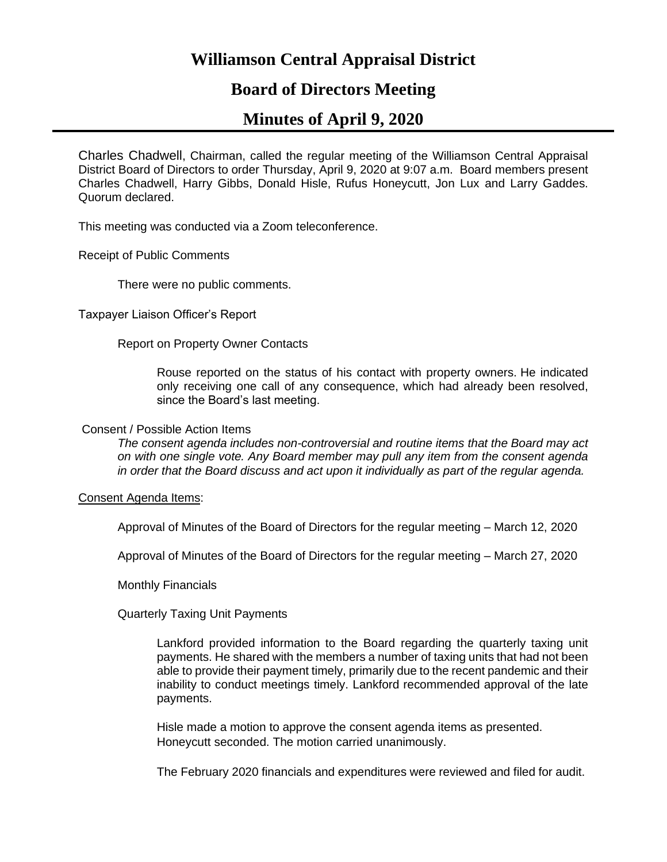# **Williamson Central Appraisal District**

## **Board of Directors Meeting**

# **Minutes of April 9, 2020**

Charles Chadwell, Chairman, called the regular meeting of the Williamson Central Appraisal District Board of Directors to order Thursday, April 9, 2020 at 9:07 a.m. Board members present Charles Chadwell, Harry Gibbs, Donald Hisle, Rufus Honeycutt, Jon Lux and Larry Gaddes. Quorum declared.

This meeting was conducted via a Zoom teleconference.

Receipt of Public Comments

There were no public comments.

Taxpayer Liaison Officer's Report

Report on Property Owner Contacts

Rouse reported on the status of his contact with property owners. He indicated only receiving one call of any consequence, which had already been resolved, since the Board's last meeting.

## Consent / Possible Action Items

*The consent agenda includes non-controversial and routine items that the Board may act on with one single vote. Any Board member may pull any item from the consent agenda in order that the Board discuss and act upon it individually as part of the regular agenda.*

Consent Agenda Items:

Approval of Minutes of the Board of Directors for the regular meeting – March 12, 2020

Approval of Minutes of the Board of Directors for the regular meeting – March 27, 2020

Monthly Financials

Quarterly Taxing Unit Payments

Lankford provided information to the Board regarding the quarterly taxing unit payments. He shared with the members a number of taxing units that had not been able to provide their payment timely, primarily due to the recent pandemic and their inability to conduct meetings timely. Lankford recommended approval of the late payments.

Hisle made a motion to approve the consent agenda items as presented. Honeycutt seconded. The motion carried unanimously.

The February 2020 financials and expenditures were reviewed and filed for audit.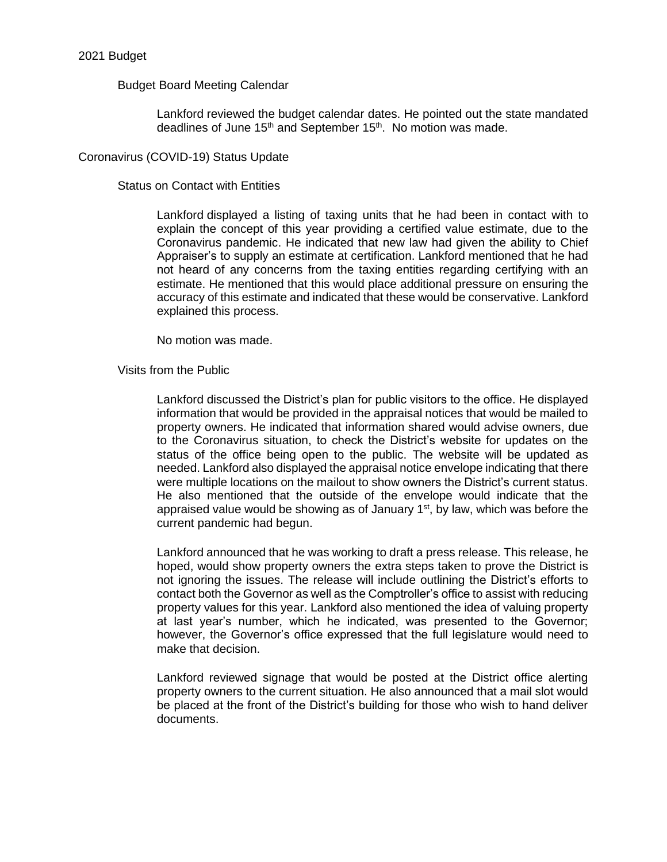## 2021 Budget

## Budget Board Meeting Calendar

Lankford reviewed the budget calendar dates. He pointed out the state mandated deadlines of June 15<sup>th</sup> and September 15<sup>th</sup>. No motion was made.

## Coronavirus (COVID-19) Status Update

## Status on Contact with Entities

Lankford displayed a listing of taxing units that he had been in contact with to explain the concept of this year providing a certified value estimate, due to the Coronavirus pandemic. He indicated that new law had given the ability to Chief Appraiser's to supply an estimate at certification. Lankford mentioned that he had not heard of any concerns from the taxing entities regarding certifying with an estimate. He mentioned that this would place additional pressure on ensuring the accuracy of this estimate and indicated that these would be conservative. Lankford explained this process.

No motion was made.

Visits from the Public

Lankford discussed the District's plan for public visitors to the office. He displayed information that would be provided in the appraisal notices that would be mailed to property owners. He indicated that information shared would advise owners, due to the Coronavirus situation, to check the District's website for updates on the status of the office being open to the public. The website will be updated as needed. Lankford also displayed the appraisal notice envelope indicating that there were multiple locations on the mailout to show owners the District's current status. He also mentioned that the outside of the envelope would indicate that the appraised value would be showing as of January  $1<sup>st</sup>$ , by law, which was before the current pandemic had begun.

Lankford announced that he was working to draft a press release. This release, he hoped, would show property owners the extra steps taken to prove the District is not ignoring the issues. The release will include outlining the District's efforts to contact both the Governor as well as the Comptroller's office to assist with reducing property values for this year. Lankford also mentioned the idea of valuing property at last year's number, which he indicated, was presented to the Governor; however, the Governor's office expressed that the full legislature would need to make that decision.

Lankford reviewed signage that would be posted at the District office alerting property owners to the current situation. He also announced that a mail slot would be placed at the front of the District's building for those who wish to hand deliver documents.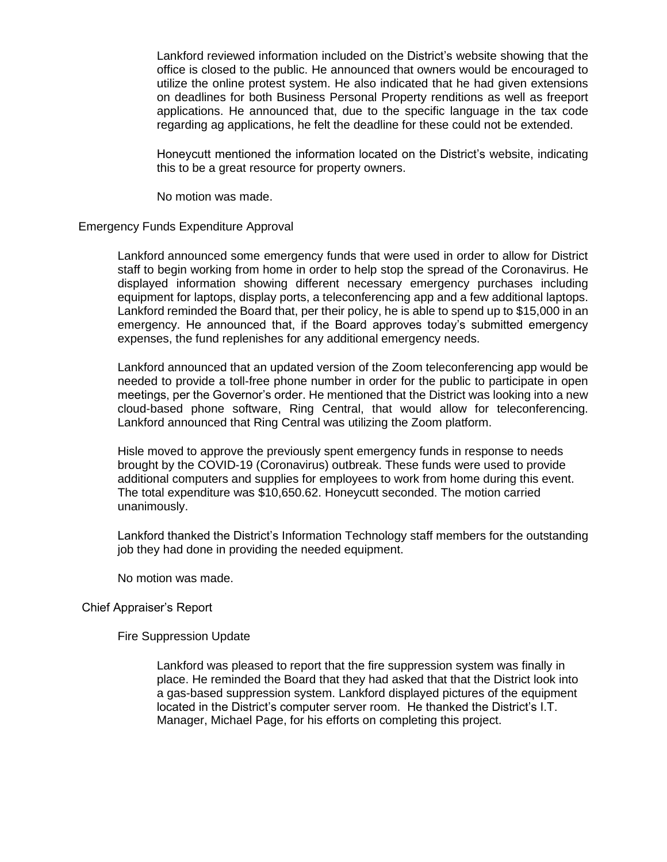Lankford reviewed information included on the District's website showing that the office is closed to the public. He announced that owners would be encouraged to utilize the online protest system. He also indicated that he had given extensions on deadlines for both Business Personal Property renditions as well as freeport applications. He announced that, due to the specific language in the tax code regarding ag applications, he felt the deadline for these could not be extended.

Honeycutt mentioned the information located on the District's website, indicating this to be a great resource for property owners.

No motion was made.

#### Emergency Funds Expenditure Approval

Lankford announced some emergency funds that were used in order to allow for District staff to begin working from home in order to help stop the spread of the Coronavirus. He displayed information showing different necessary emergency purchases including equipment for laptops, display ports, a teleconferencing app and a few additional laptops. Lankford reminded the Board that, per their policy, he is able to spend up to \$15,000 in an emergency. He announced that, if the Board approves today's submitted emergency expenses, the fund replenishes for any additional emergency needs.

Lankford announced that an updated version of the Zoom teleconferencing app would be needed to provide a toll-free phone number in order for the public to participate in open meetings, per the Governor's order. He mentioned that the District was looking into a new cloud-based phone software, Ring Central, that would allow for teleconferencing. Lankford announced that Ring Central was utilizing the Zoom platform.

Hisle moved to approve the previously spent emergency funds in response to needs brought by the COVID-19 (Coronavirus) outbreak. These funds were used to provide additional computers and supplies for employees to work from home during this event. The total expenditure was \$10,650.62. Honeycutt seconded. The motion carried unanimously.

Lankford thanked the District's Information Technology staff members for the outstanding job they had done in providing the needed equipment.

No motion was made.

#### Chief Appraiser's Report

Fire Suppression Update

Lankford was pleased to report that the fire suppression system was finally in place. He reminded the Board that they had asked that that the District look into a gas-based suppression system. Lankford displayed pictures of the equipment located in the District's computer server room. He thanked the District's I.T. Manager, Michael Page, for his efforts on completing this project.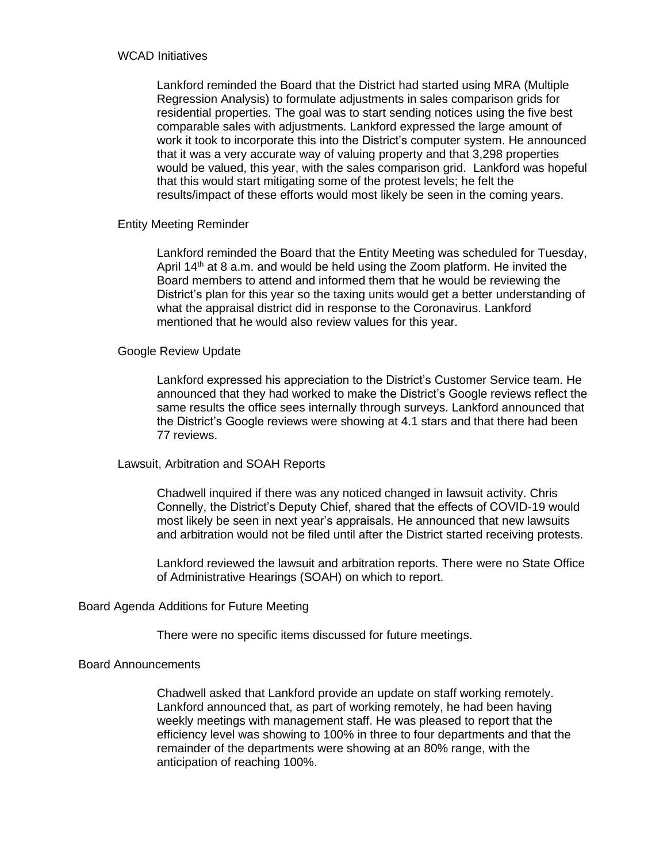#### WCAD Initiatives

Lankford reminded the Board that the District had started using MRA (Multiple Regression Analysis) to formulate adjustments in sales comparison grids for residential properties. The goal was to start sending notices using the five best comparable sales with adjustments. Lankford expressed the large amount of work it took to incorporate this into the District's computer system. He announced that it was a very accurate way of valuing property and that 3,298 properties would be valued, this year, with the sales comparison grid. Lankford was hopeful that this would start mitigating some of the protest levels; he felt the results/impact of these efforts would most likely be seen in the coming years.

## Entity Meeting Reminder

Lankford reminded the Board that the Entity Meeting was scheduled for Tuesday, April  $14<sup>th</sup>$  at 8 a.m. and would be held using the Zoom platform. He invited the Board members to attend and informed them that he would be reviewing the District's plan for this year so the taxing units would get a better understanding of what the appraisal district did in response to the Coronavirus. Lankford mentioned that he would also review values for this year.

#### Google Review Update

Lankford expressed his appreciation to the District's Customer Service team. He announced that they had worked to make the District's Google reviews reflect the same results the office sees internally through surveys. Lankford announced that the District's Google reviews were showing at 4.1 stars and that there had been 77 reviews.

## Lawsuit, Arbitration and SOAH Reports

Chadwell inquired if there was any noticed changed in lawsuit activity. Chris Connelly, the District's Deputy Chief, shared that the effects of COVID-19 would most likely be seen in next year's appraisals. He announced that new lawsuits and arbitration would not be filed until after the District started receiving protests.

Lankford reviewed the lawsuit and arbitration reports. There were no State Office of Administrative Hearings (SOAH) on which to report.

## Board Agenda Additions for Future Meeting

There were no specific items discussed for future meetings.

#### Board Announcements

Chadwell asked that Lankford provide an update on staff working remotely. Lankford announced that, as part of working remotely, he had been having weekly meetings with management staff. He was pleased to report that the efficiency level was showing to 100% in three to four departments and that the remainder of the departments were showing at an 80% range, with the anticipation of reaching 100%.